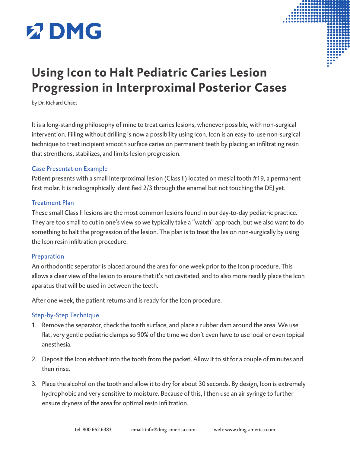



# **Using Icon to Halt Pediatric Caries Lesion Progression in Interproximal Posterior Cases**

by Dr. Richard Chaet

It is a long-standing philosophy of mine to treat caries lesions, whenever possible, with non-surgical intervention. Filling without drilling is now a possibility using Icon. Icon is an easy-to-use non-surgical technique to treat incipient smooth surface caries on permanent teeth by placing an infiltrating resin that strenthens, stabilizes, and limits lesion progression.

#### Case Presentation Example

Patient presents with a small interproximal lesion (Class II) located on mesial tooth #19, a permanent first molar. It is radiographically identified 2/3 through the enamel but not touching the DEJ yet.

#### Treatment Plan

These small Class II lesions are the most common lesions found in our day-to-day pediatric practice. They are too small to cut in one's view so we typically take a "watch" approach, but we also want to do something to halt the progression of the lesion. The plan is to treat the lesion non-surgically by using the Icon resin infiltration procedure.

#### Preparation

An orthodontic seperator is placed around the area for one week prior to the Icon procedure. This allows a clear view of the lesion to ensure that it's not cavitated, and to also more readily place the Icon aparatus that will be used in between the teeth.

After one week, the patient returns and is ready for the Icon procedure.

### Step-by-Step Technique

- 1. Remove the separator, check the tooth surface, and place a rubber dam around the area. We use flat, very gentle pediatric clamps so 90% of the time we don't even have to use local or even topical anesthesia.
- 2. Deposit the Icon etchant into the tooth from the packet. Allow it to sit for a couple of minutes and then rinse.
- 3. Place the alcohol on the tooth and allow it to dry for about 30 seconds. By design, Icon is extremely hydrophobic and very sensitive to moisture. Because of this, I then use an air syringe to further ensure dryness of the area for optimal resin infiltration.